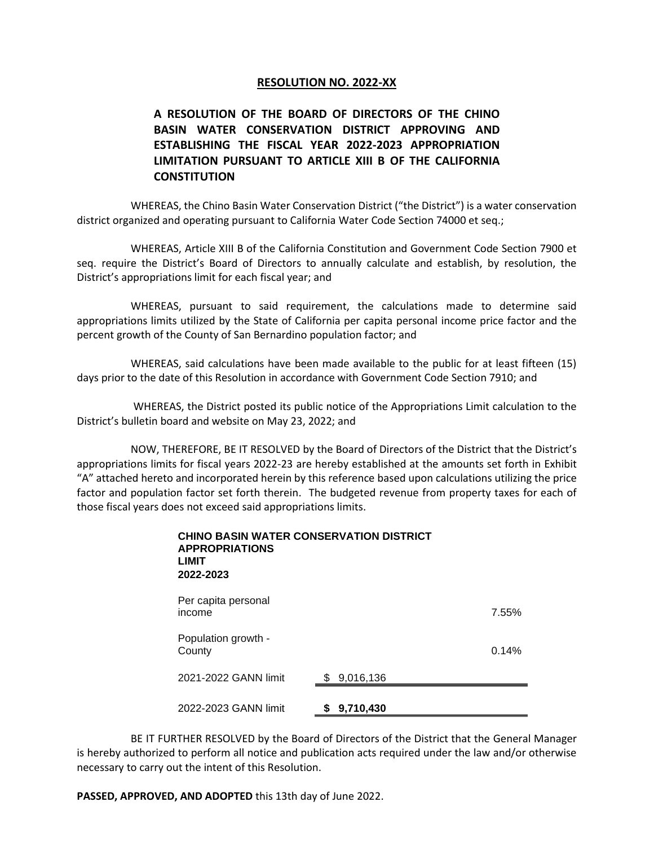## **RESOLUTION NO. 2022-XX**

## **A RESOLUTION OF THE BOARD OF DIRECTORS OF THE CHINO BASIN WATER CONSERVATION DISTRICT APPROVING AND ESTABLISHING THE FISCAL YEAR 2022-2023 APPROPRIATION LIMITATION PURSUANT TO ARTICLE XIII B OF THE CALIFORNIA CONSTITUTION**

WHEREAS, the Chino Basin Water Conservation District ("the District") is a water conservation district organized and operating pursuant to California Water Code Section 74000 et seq.;

WHEREAS, Article XIII B of the California Constitution and Government Code Section 7900 et seq. require the District's Board of Directors to annually calculate and establish, by resolution, the District's appropriations limit for each fiscal year; and

WHEREAS, pursuant to said requirement, the calculations made to determine said appropriations limits utilized by the State of California per capita personal income price factor and the percent growth of the County of San Bernardino population factor; and

WHEREAS, said calculations have been made available to the public for at least fifteen (15) days prior to the date of this Resolution in accordance with Government Code Section 7910; and

WHEREAS, the District posted its public notice of the Appropriations Limit calculation to the District's bulletin board and website on May 23, 2022; and

NOW, THEREFORE, BE IT RESOLVED by the Board of Directors of the District that the District's appropriations limits for fiscal years 2022-23 are hereby established at the amounts set forth in Exhibit "A" attached hereto and incorporated herein by this reference based upon calculations utilizing the price factor and population factor set forth therein. The budgeted revenue from property taxes for each of those fiscal years does not exceed said appropriations limits.

| <b>CHINO BASIN WATER CONSERVATION DISTRICT</b><br><b>APPROPRIATIONS</b><br>LIMIT<br>2022-2023 |                  |       |
|-----------------------------------------------------------------------------------------------|------------------|-------|
| Per capita personal<br>income                                                                 |                  | 7.55% |
| Population growth -<br>County                                                                 |                  | 0.14% |
| 2021-2022 GANN limit                                                                          | 9,016,136<br>\$. |       |
| 2022-2023 GANN limit                                                                          | 9,710,430        |       |

BE IT FURTHER RESOLVED by the Board of Directors of the District that the General Manager is hereby authorized to perform all notice and publication acts required under the law and/or otherwise necessary to carry out the intent of this Resolution.

**PASSED, APPROVED, AND ADOPTED** this 13th day of June 2022.